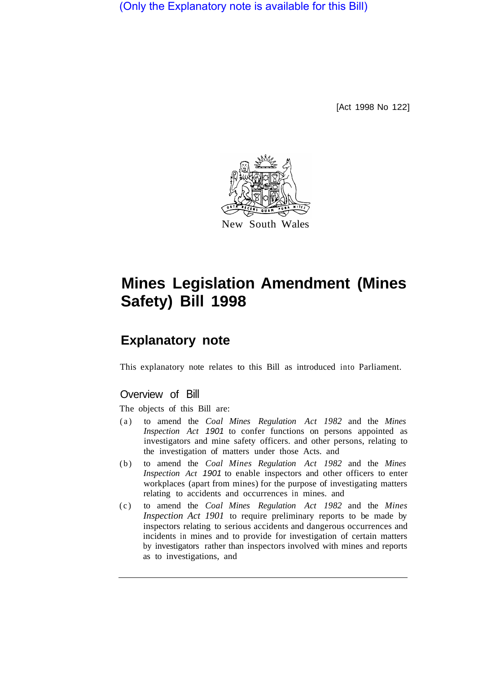(Only the Explanatory note is available for this Bill)

[Act 1998 No 122]



# **Mines Legislation Amendment (Mines Safety) Bill 1998**

## **Explanatory note**

This explanatory note relates to this Bill as introduced into Parliament.

## Overview of Bill

The objects of this Bill are:

- (a) to amend the *Coal Mines Regulation Act 1982* and the *Mines Inspection Act 1901* to confer functions on persons appointed as investigators and mine safety officers. and other persons, relating to the investigation of matters under those Acts. and
- (b) to amend the *Coal Mines Regulation Act 1982* and the *Mines Inspection Act 1901* to enable inspectors and other officers to enter workplaces (apart from mines) for the purpose of investigating matters relating to accidents and occurrences in mines. and
- (c) to amend the *Coal Mines Regulation Act 1982* and the *Mines Inspection Act 1901* to require preliminary reports to be made by inspectors relating to serious accidents and dangerous occurrences and incidents in mines and to provide for investigation of certain matters by investigators rather than inspectors involved with mines and reports as to investigations, and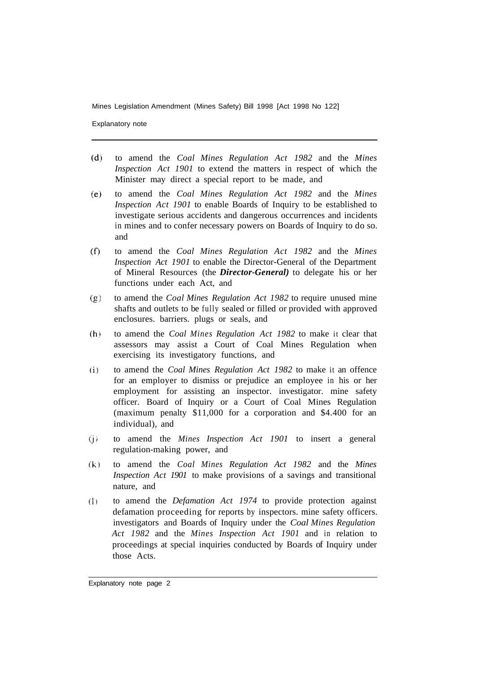Explanatory note

- $(d)$ to amend the *Coal Mines Regulation Act 1982* and the *Mines Inspection Act 1901* to extend the matters in respect of which the Minister may direct a special report to be made, and
- $(e)$ to amend the *Coal Mines Regulation Act 1982* and the *Mines Inspection Act 1901* to enable Boards of Inquiry to be established to investigate serious accidents and dangerous occurrences and incidents in mines and to confer necessary powers on Boards of Inquiry to do so. and
- $(f)$ to amend the *Coal Mines Regulation Act 1982* and the *Mines Inspection Act 1901* to enable the Director-General of the Department of Mineral Resources (the *Director-General)* to delegate his or her functions under each Act, and
- $(g)$ to amend the *Coal Mines Regulation Act 1982* to require unused mine shafts and outlets to be fully sealed or filled or provided with approved enclosures. barriers. plugs or seals, and
- $(h)$ to amend the *Coal Mines Regulation Act 1982* to make it clear that assessors may assist a Court of Coal Mines Regulation when exercising its investigatory functions, and
- $(i)$ to amend the *Coal Mines Regulation Act 1982* to make it an offence for an employer to dismiss or prejudice an employee in his or her employment for assisting an inspector. investigator. mine safety officer. Board of Inquiry or a Court of Coal Mines Regulation (maximum penalty \$11,000 for a corporation and \$4.400 for an individual), and
- to amend the *Mines Inspection Act 1901* to insert a general  $(i)$ regulation-making power, and
- to amend the *Coal Mines Regulation Act 1982* and the *Mines*   $(k)$ *Inspection Act 1901* to make provisions of a savings and transitional nature, and
- to amend the *Defamation Act 1974* to provide protection against  $($ ]  $)$ defamation proceeding for reports by inspectors. mine safety officers. investigators and Boards of Inquiry under the *Coal Mines Regulation Act 1982* and the *Mines Inspection Act 1901* and in relation to proceedings at special inquiries conducted by Boards of Inquiry under those Acts.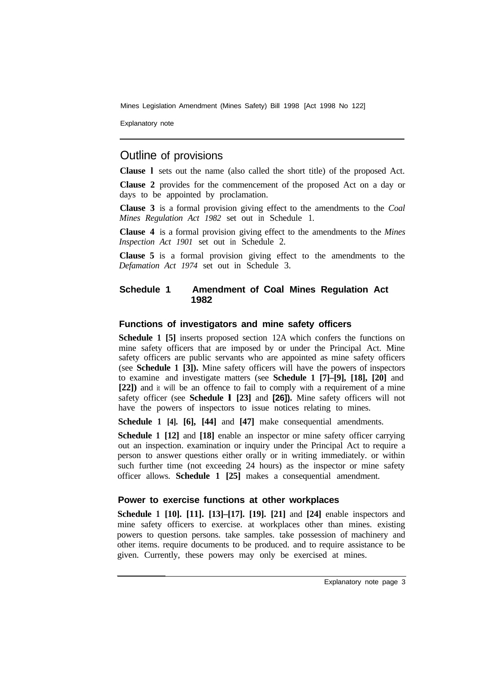Explanatory note

## Outline of provisions

**Clause l** sets out the name (also called the short title) of the proposed Act.

**Clause 2** provides for the commencement of the proposed Act on a day or days to be appointed by proclamation.

**Clause 3** is a formal provision giving effect to the amendments to the *Coal Mines Regulation Act 1982* set out in Schedule 1.

**Clause 4** is a formal provision giving effect to the amendments to the *Mines Inspection Act 1901* set out in Schedule 2.

**Clause 5** is a formal provision giving effect to the amendments to the *Defamation Act 1974* set out in Schedule 3.

## **Schedule 1 Amendment of Coal Mines Regulation Act 1982**

## **Functions of investigators and mine safety officers**

**Schedule 1 [5]** inserts proposed section 12A which confers the functions on mine safety officers that are imposed by or under the Principal Act. Mine safety officers are public servants who are appointed as mine safety officers (see **Schedule 1 [3]).** Mine safety officers will have the powers of inspectors to examine and investigate matters (see **Schedule 1 [7]–[9], [18], [20]** and **[22])** and it will be an offence to fail to comply with a requirement of a mine safety officer (see **Schedule l [23]** and **[26]).** Mine safety officers will not have the powers of inspectors to issue notices relating to mines.

**Schedule 1 [4]. [6], [44]** and **[47]** make consequential amendments.

**Schedule 1 [12]** and **[18]** enable an inspector or mine safety officer carrying out an inspection. examination or inquiry under the Principal Act to require a person to answer questions either orally or in writing immediately. or within such further time (not exceeding 24 hours) as the inspector or mine safety officer allows. **Schedule 1 [25]** makes a consequential amendment.

## **Power to exercise functions at other workplaces**

**Schedule 1 [10]. [11]. [13]–[17]. [19]. [21]** and **[24]** enable inspectors and mine safety officers to exercise. at workplaces other than mines. existing powers to question persons. take samples. take possession of machinery and other items. require documents to be produced. and to require assistance to be given. Currently, these powers may only be exercised at mines.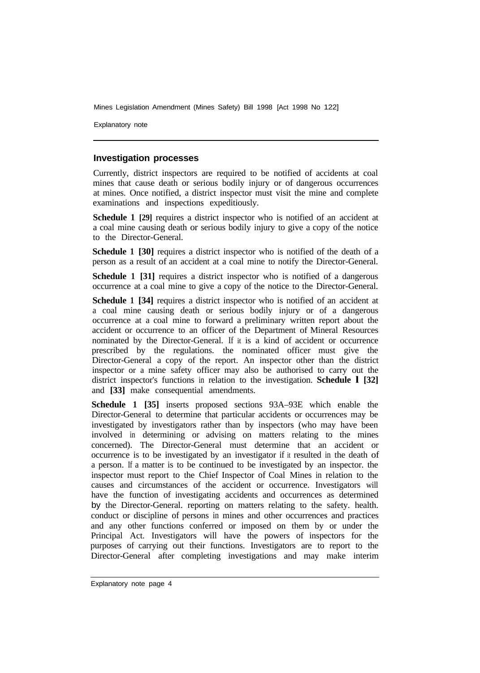Explanatory note

#### **Investigation processes**

Currently, district inspectors are required to be notified of accidents at coal mines that cause death or serious bodily injury or of dangerous occurrences at mines. Once notified, a district inspector must visit the mine and complete examinations and inspections expeditiously.

**Schedule 1 [29]** requires a district inspector who is notified of an accident at a coal mine causing death or serious bodily injury to give a copy of the notice to the Director-General.

**Schedule 1 [30]** requires a district inspector who is notified of the death of a person as a result of an accident at a coal mine to notify the Director-General.

**Schedule 1 [31]** requires a district inspector who is notified of a dangerous occurrence at a coal mine to give a copy of the notice to the Director-General.

**Schedule 1 [34]** requires a district inspector who is notified of an accident at a coal mine causing death or serious bodily injury or of a dangerous occurrence at a coal mine to forward a preliminary written report about the accident or occurrence to an officer of the Department of Mineral Resources nominated by the Director-General. If it is a kind of accident or occurrence prescribed by the regulations. the nominated officer must give the Director-General a copy of the report. An inspector other than the district inspector or a mine safety officer may also be authorised to carry out the district inspector's functions in relation to the investigation. **Schedule l [32]**  and **[33]** make consequential amendments.

**Schedule 1 [35]** inserts proposed sections 93A–93E which enable the Director-General to determine that particular accidents or occurrences may be investigated by investigators rather than by inspectors (who may have been involved in determining or advising on matters relating to the mines concerned). The Director-General must determine that an accident or occurrence is to be investigated by an investigator if it resulted in the death of a person. If a matter is to be continued to be investigated by an inspector. the inspector must report to the Chief Inspector of Coal Mines in relation to the causes and circumstances of the accident or occurrence. Investigators will have the function of investigating accidents and occurrences as determined by the Director-General. reporting on matters relating to the safety. health. conduct or discipline of persons in mines and other occurrences and practices and any other functions conferred or imposed on them by or under the Principal Act. Investigators will have the powers of inspectors for the purposes of carrying out their functions. Investigators are to report to the Director-General after completing investigations and may make interim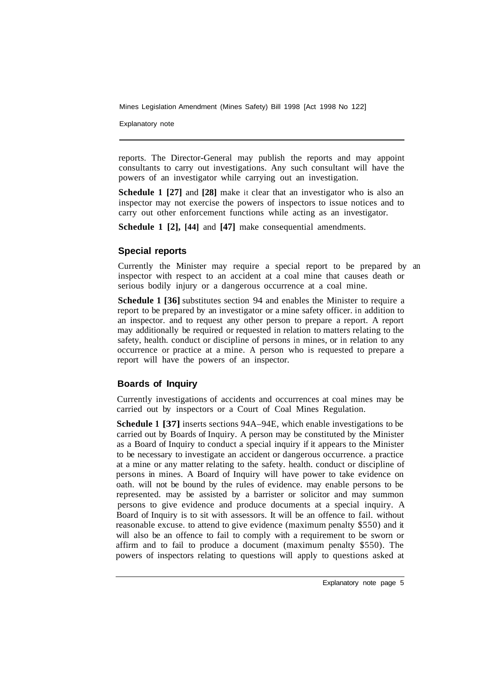Explanatory note

reports. The Director-General may publish the reports and may appoint consultants to carry out investigations. Any such consultant will have the powers of an investigator while carrying out an investigation.

**Schedule 1 [27]** and **[28]** make it clear that an investigator who is also an inspector may not exercise the powers of inspectors to issue notices and to carry out other enforcement functions while acting as an investigator.

**Schedule 1 [2], [44]** and **[47]** make consequential amendments.

## **Special reports**

Currently the Minister may require a special report to be prepared by an inspector with respect to an accident at a coal mine that causes death or serious bodily injury or a dangerous occurrence at a coal mine.

**Schedule 1 [36]** substitutes section 94 and enables the Minister to require a report to be prepared by an investigator or a mine safety officer. in addition to an inspector. and to request any other person to prepare a report. A report may additionally be required or requested in relation to matters relating to the safety, health. conduct or discipline of persons in mines, or in relation to any occurrence or practice at a mine. A person who is requested to prepare a report will have the powers of an inspector.

## **Boards of Inquiry**

Currently investigations of accidents and occurrences at coal mines may be carried out by inspectors or a Court of Coal Mines Regulation.

**Schedule 1 [37]** inserts sections 94A–94E, which enable investigations to be carried out by Boards of Inquiry. A person may be constituted by the Minister as a Board of Inquiry to conduct a special inquiry if it appears to the Minister to be necessary to investigate an accident or dangerous occurrence. a practice at a mine or any matter relating to the safety. health. conduct or discipline of persons in mines. A Board of Inquiry will have power to take evidence on oath. will not be bound by the rules of evidence. may enable persons to be represented. may be assisted by a barrister or solicitor and may summon persons to give evidence and produce documents at a special inquiry. A Board of Inquiry is to sit with assessors. It will be an offence to fail. without reasonable excuse. to attend to give evidence (maximum penalty \$550) and it will also be an offence to fail to comply with a requirement to be sworn or affirm and to fail to produce a document (maximum penalty \$550). The powers of inspectors relating to questions will apply to questions asked at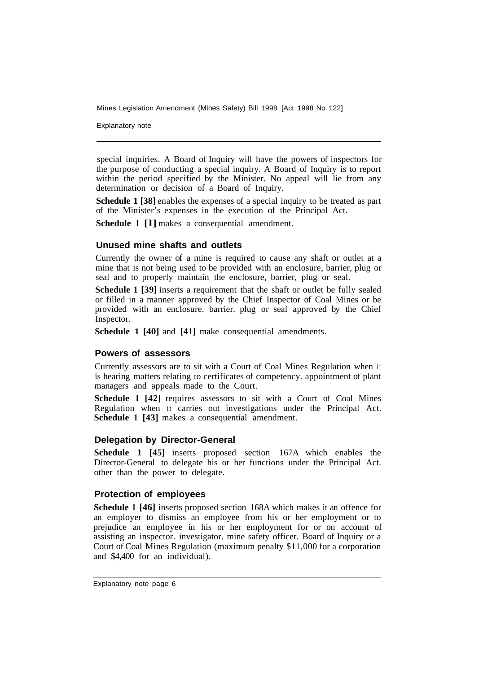Explanatory note

special inquiries. A Board of Inquiry will have the powers of inspectors for the purpose of conducting a special inquiry. A Board of Inquiry is to report within the period specified by the Minister. No appeal will lie from any determination or decision of a Board of Inquiry.

**Schedule 1 [38]** enables the expenses of a special inquiry to be treated as part of the Minister's expenses in the execution of the Principal Act.

**Schedule 1 [l]** makes a consequential amendment.

#### **Unused mine shafts and outlets**

Currently the owner of a mine is required to cause any shaft or outlet at a mine that is not being used to be provided with an enclosure, barrier, plug or seal and to properly maintain the enclosure, barrier, plug or seal.

**Schedule 1 [39]** inserts a requirement that the shaft or outlet be fully sealed or filled in a manner approved by the Chief Inspector of Coal Mines or be provided with an enclosure. barrier. plug or seal approved by the Chief Inspector.

**Schedule 1 [40]** and **[41]** make consequential amendments.

#### **Powers of assessors**

Currently assessors are to sit with a Court of Coal Mines Regulation when it is hearing matters relating to certificates of competency. appointment of plant managers and appeals made to the Court.

**Schedule 1 [42] requires assessors to sit with a Court of Coal Mines** Regulation when it carries out investigations under the Principal Act. **Schedule 1 [43]** makes a consequential amendment.

#### **Delegation by Director-General**

**Schedule 1 [45]** inserts proposed section 167A which enables the Director-General to delegate his or her functions under the Principal Act. other than the power to delegate.

#### **Protection of employees**

**Schedule 1 [46]** inserts proposed section 168A which makes it an offence for an employer to dismiss an employee from his or her employment or to prejudice an employee in his or her employment for or on account of assisting an inspector. investigator. mine safety officer. Board of Inquiry or a Court of Coal Mines Regulation (maximum penalty \$11,000 for a corporation and \$4,400 for an individual).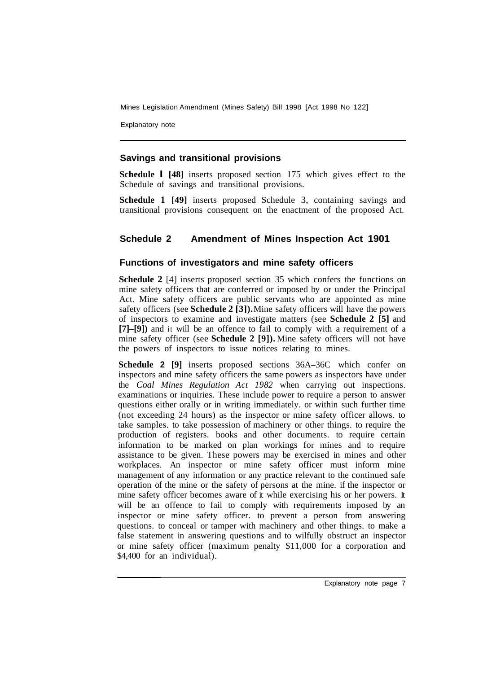Explanatory note

## **Savings and transitional provisions**

**Schedule l [48]** inserts proposed section 175 which gives effect to the Schedule of savings and transitional provisions.

**Schedule 1 [49]** inserts proposed Schedule 3, containing savings and transitional provisions consequent on the enactment of the proposed Act.

## **Schedule 2 Amendment of Mines Inspection Act 1901**

## **Functions of investigators and mine safety officers**

**Schedule 2** [4] inserts proposed section 35 which confers the functions on mine safety officers that are conferred or imposed by or under the Principal Act. Mine safety officers are public servants who are appointed as mine safety officers (see **Schedule 2 [3]).** Mine safety officers will have the powers of inspectors to examine and investigate matters (see **Schedule 2 [5]** and **[7]–[9])** and it will be an offence to fail to comply with a requirement of a mine safety officer (see **Schedule 2 [9]).** Mine safety officers will not have the powers of inspectors to issue notices relating to mines.

**Schedule 2 [9]** inserts proposed sections 36A–36C which confer on inspectors and mine safety officers the same powers as inspectors have under the *Coal Mines Regulation Act 1982* when carrying out inspections. examinations or inquiries. These include power to require a person to answer questions either orally or in writing immediately. or within such further time (not exceeding 24 hours) as the inspector or mine safety officer allows. to take samples. to take possession of machinery or other things. to require the production of registers. books and other documents. to require certain information to be marked on plan workings for mines and to require assistance to be given. These powers may be exercised in mines and other workplaces. An inspector or mine safety officer must inform mine management of any information or any practice relevant to the continued safe operation of the mine or the safety of persons at the mine. if the inspector or mine safety officer becomes aware of it while exercising his or her powers. It will be an offence to fail to comply with requirements imposed by an inspector or mine safety officer. to prevent a person from answering questions. to conceal or tamper with machinery and other things. to make a false statement in answering questions and to wilfully obstruct an inspector or mine safety officer (maximum penalty \$11,000 for a corporation and \$4,400 for an individual).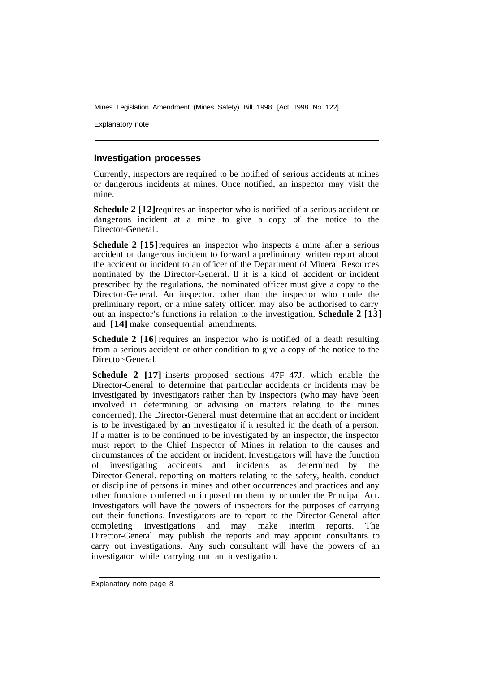Explanatory note

#### **Investigation processes**

Currently, inspectors are required to be notified of serious accidents at mines or dangerous incidents at mines. Once notified, an inspector may visit the mine.

**Schedule 2** [12] requires an inspector who is notified of a serious accident or dangerous incident at a mine to give a copy of the notice to the Director-General .

**Schedule 2 [15] requires an inspector who inspects a mine after a serious** accident or dangerous incident to forward a preliminary written report about the accident or incident to an officer of the Department of Mineral Resources nominated by the Director-General. If it is a kind of accident or incident prescribed by the regulations, the nominated officer must give a copy to the Director-General. An inspector. other than the inspector who made the preliminary report, or a mine safety officer, may also be authorised to carry out an inspector's functions in relation to the investigation. **Schedule 2 [13]**  and **[14]** make consequential amendments.

**Schedule 2 [16] requires an inspector who is notified of a death resulting** from a serious accident or other condition to give a copy of the notice to the Director-General.

**Schedule 2 [17]** inserts proposed sections 47F–47J, which enable the Director-General to determine that particular accidents or incidents may be investigated by investigators rather than by inspectors (who may have been involved in determining or advising on matters relating to the mines concerned). The Director-General must determine that an accident or incident is to be investigated by an investigator if it resulted in the death of a person. If a matter is to be continued to be investigated by an inspector, the inspector must report to the Chief Inspector of Mines in relation to the causes and circumstances of the accident or incident. Investigators will have the function of investigating accidents and incidents as determined by the Director-General. reporting on matters relating to the safety, health. conduct or discipline of persons in mines and other occurrences and practices and any other functions conferred or imposed on them by or under the Principal Act. Investigators will have the powers of inspectors for the purposes of carrying out their functions. Investigators are to report to the Director-General after completing investigations and may make interim reports. The Director-General may publish the reports and may appoint consultants to carry out investigations. Any such consultant will have the powers of an investigator while carrying out an investigation.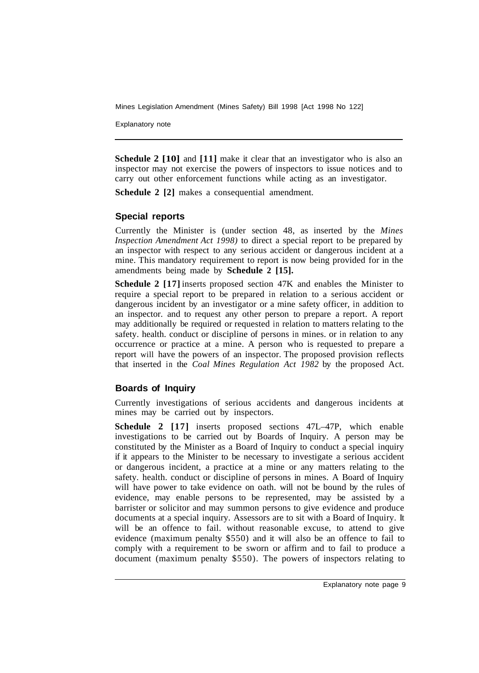Explanatory note

**Schedule 2 [10]** and [11] make it clear that an investigator who is also an inspector may not exercise the powers of inspectors to issue notices and to carry out other enforcement functions while acting as an investigator.

**Schedule 2 [2] makes a consequential amendment.** 

## **Special reports**

Currently the Minister is (under section 48, as inserted by the *Mines Inspection Amendment Act 1998)* to direct a special report to be prepared by an inspector with respect to any serious accident or dangerous incident at a mine. This mandatory requirement to report is now being provided for in the amendments being made by **Schedule 2 [15].** 

**Schedule 2 [17]** inserts proposed section 47K and enables the Minister to require a special report to be prepared in relation to a serious accident or dangerous incident by an investigator or a mine safety officer, in addition to an inspector. and to request any other person to prepare a report. A report may additionally be required or requested in relation to matters relating to the safety. health. conduct or discipline of persons in mines. or in relation to any occurrence or practice at a mine. A person who is requested to prepare a report will have the powers of an inspector. The proposed provision reflects that inserted in the *Coal Mines Regulation Act 1982* by the proposed Act.

## **Boards of Inquiry**

Currently investigations of serious accidents and dangerous incidents at mines may be carried out by inspectors.

**Schedule 2 [17]** inserts proposed sections 47L–47P, which enable investigations to be carried out by Boards of Inquiry. A person may be constituted by the Minister as a Board of Inquiry to conduct a special inquiry if it appears to the Minister to be necessary to investigate a serious accident or dangerous incident, a practice at a mine or any matters relating to the safety. health. conduct or discipline of persons in mines. A Board of Inquiry will have power to take evidence on oath. will not be bound by the rules of evidence, may enable persons to be represented, may be assisted by a barrister or solicitor and may summon persons to give evidence and produce documents at a special inquiry. Assessors are to sit with a Board of Inquiry. It will be an offence to fail. without reasonable excuse, to attend to give evidence (maximum penalty \$550) and it will also be an offence to fail to comply with a requirement to be sworn or affirm and to fail to produce a document (maximum penalty \$550). The powers of inspectors relating to